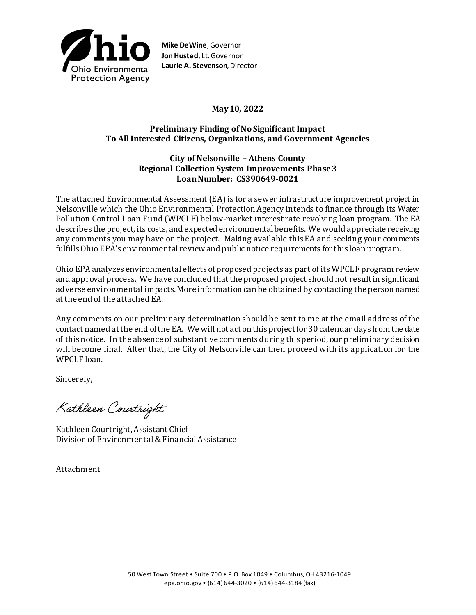

**Mike DeWine**, Governor **Jon Husted**, Lt. Governor **Laurie A. Stevenson**, Director

# **May 10, 2022**

### **Preliminary Finding of No Significant Impact To All Interested Citizens, Organizations, and Government Agencies**

#### **City of Nelsonville – Athens County Regional Collection System Improvements Phase 3 Loan Number: CS390649-0021**

The attached Environmental Assessment (EA) is for a sewer infrastructure improvement project in Nelsonville which the Ohio Environmental Protection Agency intends to finance through its Water Pollution Control Loan Fund (WPCLF) below-market interest rate revolving loan program. The EA describes the project, its costs, and expected environmental benefits. We would appreciate receiving any comments you may have on the project. Making available this EA and seeking your comments fulfills Ohio EPA's environmental review and public notice requirements for this loan program.

Ohio EPA analyzes environmental effects of proposed projects as part of its WPCLF program review and approval process. We have concluded that the proposed project should not result in significant adverse environmental impacts. More information can be obtained by contacting the person named at the end of the attached EA.

Any comments on our preliminary determination should be sent to me at the email address of the contact named at the end of the EA. We will not act on this project for 30 calendar days from the date of this notice. In the absence of substantive comments during this period, our preliminary decision will become final. After that, the City of Nelsonville can then proceed with its application for the WPCLF loan.

Sincerely,

Kathleen Courtright

Kathleen Courtright, Assistant Chief Division of Environmental & Financial Assistance

Attachment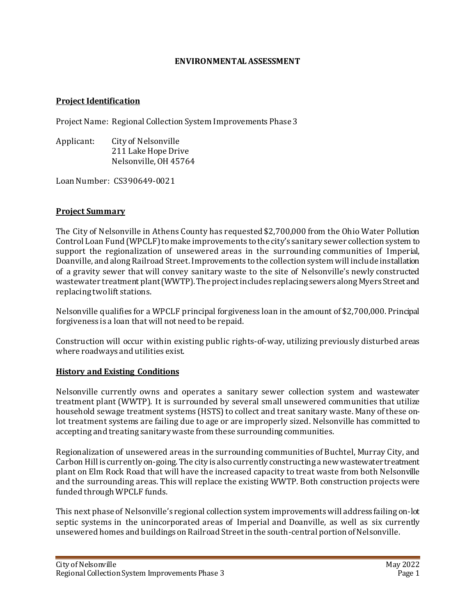#### **ENVIRONMENTAL ASSESSMENT**

#### **Project Identification**

Project Name: Regional Collection System Improvements Phase 3

Applicant: City of Nelsonville 211 Lake Hope Drive Nelsonville, OH 45764

Loan Number: CS390649-0021

#### **Project Summary**

The City of Nelsonville in Athens County has requested \$2,700,000 from the Ohio Water Pollution Control Loan Fund (WPCLF) tomake improvements to the city's sanitary sewer collection system to support the regionalization of unsewered areas in the surrounding communities of Imperial, Doanville, and along Railroad Street. Improvements to the collection system will include installation of a gravity sewer that will convey sanitary waste to the site of Nelsonville's newly constructed wastewater treatment plant (WWTP). The project includes replacingsewers along Myers Street and replacing two lift stations.

Nelsonville qualifies for a WPCLF principal forgiveness loan in the amount of \$2,700,000. Principal forgiveness is a loan that will not need to be repaid.

Construction will occur within existing public rights-of-way, utilizing previously disturbed areas where roadways and utilities exist.

#### **History and Existing Conditions**

Nelsonville currently owns and operates a sanitary sewer collection system and wastewater treatment plant (WWTP). It is surrounded by several small unsewered communities that utilize household sewage treatment systems (HSTS) to collect and treat sanitary waste. Many of these onlot treatment systems are failing due to age or are improperly sized. Nelsonville has committed to accepting and treating sanitary waste from these surrounding communities.

Regionalization of unsewered areas in the surrounding communities of Buchtel, Murray City, and Carbon Hill is currently on-going. The city is also currently constructing a new wastewater treatment plant on Elm Rock Road that will have the increased capacity to treat waste from both Nelsonville and the surrounding areas. This will replace the existing WWTP. Both construction projects were funded through WPCLF funds.

This next phase of Nelsonville's regional collection system improvements will address failing on-lot septic systems in the unincorporated areas of Imperial and Doanville, as well as six currently unsewered homes and buildings on Railroad Street in the south-central portion of Nelsonville.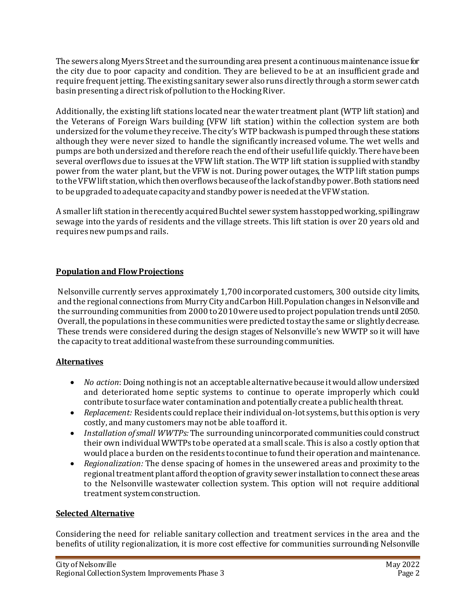The sewers along Myers Street and the surrounding area present a continuous maintenance issue for the city due to poor capacity and condition. They are believed to be at an insufficient grade and require frequent jetting. The existing sanitary sewer also runs directly through a storm sewer catch basin presenting a direct risk of pollution to the Hocking River.

Additionally, the existing lift stations located near the water treatment plant (WTP lift station) and the Veterans of Foreign Wars building (VFW lift station) within the collection system are both undersized for the volume they receive. The city's WTP backwash is pumped through these stations although they were never sized to handle the significantly increased volume. The wet wells and pumps are both undersized and therefore reach the end of their useful life quickly. There have been several overflows due to issues at the VFW lift station. The WTP lift station is supplied with standby power from the water plant, but the VFW is not. During power outages, the WTP lift station pumps to the VFW lift station, which then overflows because of the lack of standby power. Both stations need to be upgraded to adequate capacity and standby power is needed at the VFW station.

A smaller lift station in the recently acquired Buchtel sewer system has stopped working, spilling raw sewage into the yards of residents and the village streets. This lift station is over 20 years old and requires new pumps and rails.

# **Population and Flow Projections**

Nelsonville currently serves approximately 1,700 incorporated customers, 300 outside city limits, and the regional connections from Murry City and Carbon Hill.Population changes in Nelsonville and the surrounding communities from 2000 to 2010 were used toproject population trends until 2050. Overall, the populations in these communities were predicted to stay the same or slightly decrease. These trends were considered during the design stages of Nelsonville's new WWTP so it will have the capacity to treat additional waste from these surrounding communities.

### **Alternatives**

- *No action*: Doing nothing is not an acceptable alternative because it would allow undersized and deteriorated home septic systems to continue to operate improperly which could contribute to surface water contamination and potentially create a public health threat.
- *Replacement:* Residents could replace their individual on-lot systems, but this option is very costly, and many customers may not be able to afford it.
- *Installation of small WWTPs:* The surrounding unincorporated communities could construct their own individual WWTPs to be operated at a small scale. This is also a costly option that would place a burden on the residents to continue to fund their operation and maintenance.
- *Regionalization:* The dense spacing of homes in the unsewered areas and proximity to the regional treatment plant afford the option of gravity sewer installation to connect these areas to the Nelsonville wastewater collection system. This option will not require additional treatment system construction.

### **Selected Alternative**

Considering the need for reliable sanitary collection and treatment services in the area and the benefits of utility regionalization, it is more cost effective for communities surrounding Nelsonville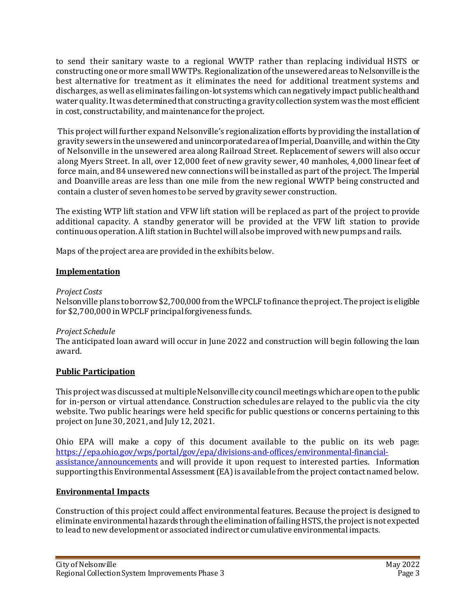to send their sanitary waste to a regional WWTP rather than replacing individual HSTS or constructing one or more small WWTPs. Regionalization of the unsewered areas to Nelsonville is the best alternative for treatment as it eliminates the need for additional treatment systems and discharges, as well as eliminates failing on-lot systems which can negatively impact public health and water quality. It was determined that constructing a gravity collection system was the most efficient in cost, constructability, and maintenance for the project.

This project will further expand Nelsonville's regionalization efforts by providing the installation of gravity sewers in the unsewered and unincorporated area of Imperial, Doanville, and within the City of Nelsonville in the unsewered area along Railroad Street. Replacement of sewers will also occur along Myers Street. In all, over 12,000 feet of new gravity sewer, 40 manholes, 4,000 linear feet of force main, and 84 unsewered new connections will be installed as part of the project. The Imperial and Doanville areas are less than one mile from the new regional WWTP being constructed and contain a cluster of seven homes to be served by gravity sewer construction.

The existing WTP lift station and VFW lift station will be replaced as part of the project to provide additional capacity. A standby generator will be provided at the VFW lift station to provide continuous operation. A lift station in Buchtel will alsobe improved with new pumps and rails.

Maps of the project area are provided in the exhibits below.

# **Implementation**

#### *Project Costs*

Nelsonville plans to borrow \$2,700,000 from the WPCLF to finance the project. The project is eligible for \$2,700,000 in WPCLF principal forgiveness funds.

### *Project Schedule*

The anticipated loan award will occur in June 2022 and construction will begin following the loan award.

### **Public Participation**

This project was discussed at multiple Nelsonville city council meetings which are open to the public for in-person or virtual attendance. Construction schedules are relayed to the public via the city website. Two public hearings were held specific for public questions or concerns pertaining to this project on June 30, 2021, and July 12, 2021.

Ohio EPA will make a copy of this document available to the public on its web page: [https://epa.ohio.gov/wps/portal/gov/epa/divisions-and-offices/environmental-financial](https://epa.ohio.gov/wps/portal/gov/epa/divisions-and-offices/environmental-financial-assistance/announcements)[assistance/announcements](https://epa.ohio.gov/wps/portal/gov/epa/divisions-and-offices/environmental-financial-assistance/announcements) and will provide it upon request to interested parties. Information supporting this Environmental Assessment (EA) is available from the project contact named below.

### **Environmental Impacts**

Construction of this project could affect environmental features. Because the project is designed to eliminate environmental hazards through the elimination of failing HSTS, the project is not expected to lead to new development or associated indirect or cumulative environmental impacts.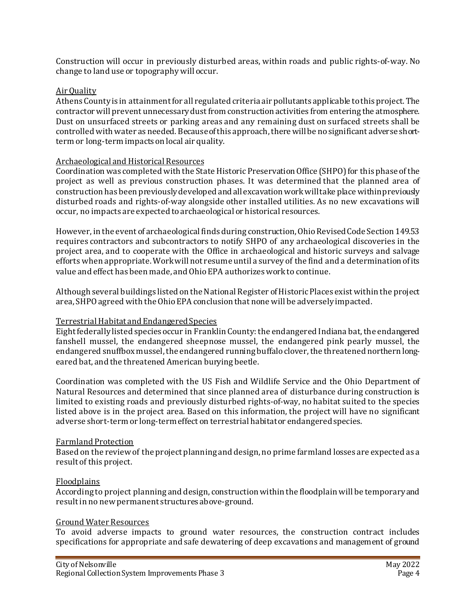Construction will occur in previously disturbed areas, within roads and public rights-of-way. No change to land use or topography will occur.

#### Air Quality

Athens County is in attainment for all regulated criteria air pollutants applicable to this project. The contractor will prevent unnecessary dust from construction activities from entering the atmosphere. Dust on unsurfaced streets or parking areas and any remaining dust on surfaced streets shall be controlled with water as needed. Because of this approach, there will be no significant adverse shortterm or long-term impacts on local air quality.

#### Archaeological and Historical Resources

Coordination was completed with the State Historic Preservation Office (SHPO) for this phase of the project as well as previous construction phases. It was determined that the planned area of construction has been previously developed and all excavation work will take place within previously disturbed roads and rights-of-way alongside other installed utilities. As no new excavations will occur, no impacts are expected to archaeological or historical resources.

However, in the event of archaeological finds during construction, Ohio Revised Code Section 149.53 requires contractors and subcontractors to notify SHPO of any archaeological discoveries in the project area, and to cooperate with the Office in archaeological and historic surveys and salvage efforts when appropriate. Work will not resume until a survey of the find and a determination of its value and effect has been made, and Ohio EPA authorizes work to continue.

Although several buildings listed on the National Register of Historic Places exist within the project area, SHPO agreed with the Ohio EPA conclusion that none will be adversely impacted.

### Terrestrial Habitat and Endangered Species

Eight federally listed species occur in Franklin County: the endangered Indiana bat, the endangered fanshell mussel, the endangered sheepnose mussel, the endangered pink pearly mussel, the endangered snuffbox mussel, the endangered running buffalo clover, the threatened northern longeared bat, and the threatened American burying beetle.

Coordination was completed with the US Fish and Wildlife Service and the Ohio Department of Natural Resources and determined that since planned area of disturbance during construction is limited to existing roads and previously disturbed rights-of-way, no habitat suited to the species listed above is in the project area. Based on this information, the project will have no significant adverse short-term or long-term effect on terrestrial habitat or endangered species.

#### Farmland Protection

Based on the review of the project planning and design, no prime farmland losses are expected as a result of this project.

#### Floodplains

According to project planning and design, construction within the floodplain will be temporary and result in no new permanent structures above-ground.

#### Ground Water Resources

To avoid adverse impacts to ground water resources, the construction contract includes specifications for appropriate and safe dewatering of deep excavations and management of ground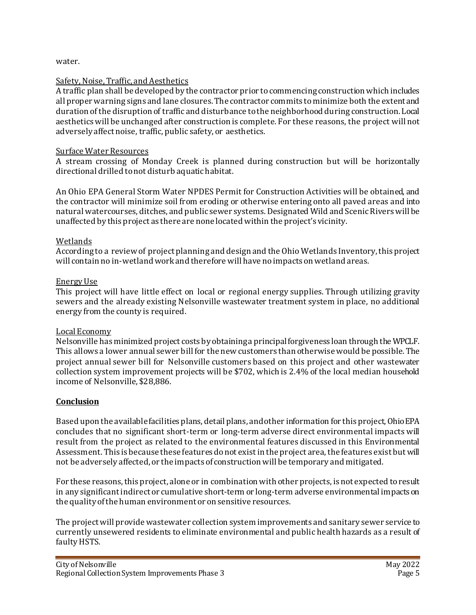water.

### Safety, Noise, Traffic, and Aesthetics

A traffic plan shall be developed by the contractor prior to commencing construction which includes all proper warning signs and lane closures. The contractor commits to minimize both the extent and duration of the disruption of traffic and disturbance to the neighborhood during construction. Local aesthetics will be unchanged after construction is complete. For these reasons, the project will not adversely affect noise, traffic, public safety, or aesthetics.

### Surface Water Resources

A stream crossing of Monday Creek is planned during construction but will be horizontally directional drilled to not disturb aquatic habitat.

An Ohio EPA General Storm Water NPDES Permit for Construction Activities will be obtained, and the contractor will minimize soil from eroding or otherwise entering onto all paved areas and into natural watercourses, ditches, and public sewer systems. Designated Wild and Scenic Rivers will be unaffected by this project as there are none located within the project's vicinity.

### Wetlands

According to a review of project planning and design and the Ohio Wetlands Inventory, this project will contain no in-wetland work and therefore will have no impacts onwetland areas.

#### Energy Use

This project will have little effect on local or regional energy supplies. Through utilizing gravity sewers and the already existing Nelsonville wastewater treatment system in place, no additional energy from the county is required.

### Local Economy

Nelsonville has minimized project costs by obtaining a principal forgiveness loan through the WPCLF. This allows a lower annual sewer bill for the new customers than otherwise would be possible. The project annual sewer bill for Nelsonville customers based on this project and other wastewater collection system improvement projects will be \$702, which is 2.4% of the local median household income of Nelsonville, \$28,886.

### **Conclusion**

Based upon the available facilities plans, detail plans, and other information for this project, Ohio EPA concludes that no significant short-term or long-term adverse direct environmental impacts will result from the project as related to the environmental features discussed in this Environmental Assessment. This is because these features do not exist in the project area, the features exist but will not be adversely affected, or the impacts of construction will be temporary and mitigated.

For these reasons, this project, alone or in combination with other projects, is not expected to result in any significant indirect or cumulative short-term or long-term adverse environmental impacts on the quality of the human environment or on sensitive resources.

The project will provide wastewater collection system improvements and sanitary sewer service to currently unsewered residents to eliminate environmental and public health hazards as a result of faulty HSTS.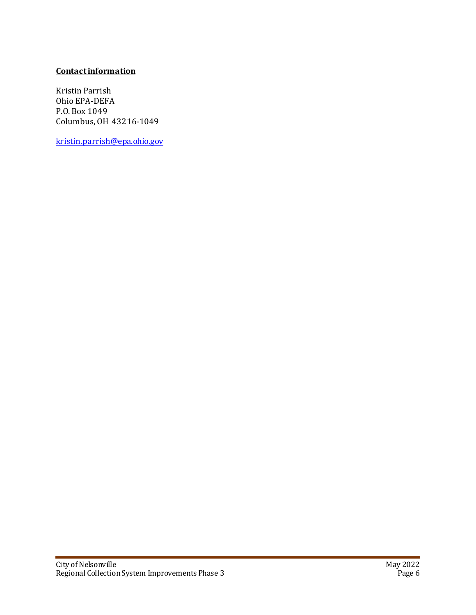# **Contactinformation**

Kristin Parrish Ohio EPA-DEFA P.O. Box 1049 Columbus, OH 43216-1049

[kristin.parrish@epa.ohio.gov](mailto:kristin.parrish@epa.ohio.gov)